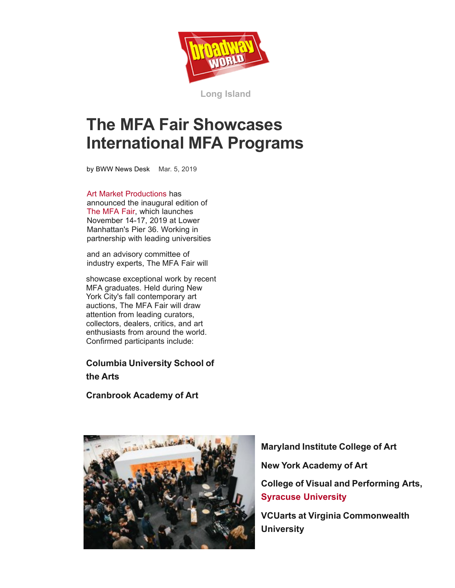

**[Long Island](https://www.broadwayworld.com/long-island/)**

## **The MFA Fair Showcases International MFA Programs**

[by BWW News Desk](https://www.broadwayworld.com/author/BWW-News-Desk) Mar. 5, 2019

[Art Market Productions](https://culturalcounsel.us11.list-manage.com/track/click?u=80758300da37073503a548031&id=af8d7e2c48&e=9751893005) has announced the inaugural edition of [The MFA Fair,](https://culturalcounsel.us11.list-manage.com/track/click?u=80758300da37073503a548031&id=b2e0c69119&e=9751893005) which launches November 14-17, 2019 at Lower Manhattan's Pier 36. Working in partnership with leading universities

and an advisory committee of industry experts, The MFA Fair will

showcase exceptional work by recent MFA graduates. Held during New York City's fall contemporary art auctions, The MFA Fair will draw attention from leading curators, collectors, dealers, critics, and art enthusiasts from around the world. Confirmed participa[nts include:](https://www.broadwayworld.com/long-island/article/The-MFA-Fair-Showcases-International-MFA-Programs-20190305#)

## **Columbia University School o[f](https://twitter.com/intent/tweet?text=The+MFA+Fair+Showcases+International+MFA+Programs+&url=https://www.broadwayworld.com/long-island/article/The-MFA-Fair-Showcases-International-MFA-Programs-20190305) the Arts**

**Cranbrook Academy of Art**



**[Maryland Institute College](mailto:?subject=The%20MFA%20Fair%20Showcases%20International%20MFA%20Programs&body=https://www.broadwayworld.com/long-island/article/The-MFA-Fair-Showcases-International-MFA-Programs-20190305) of Art New York Academy of Art College of Visual and Performing Arts, Syracuse University**

**VCUarts at Virginia Commonwealth University**